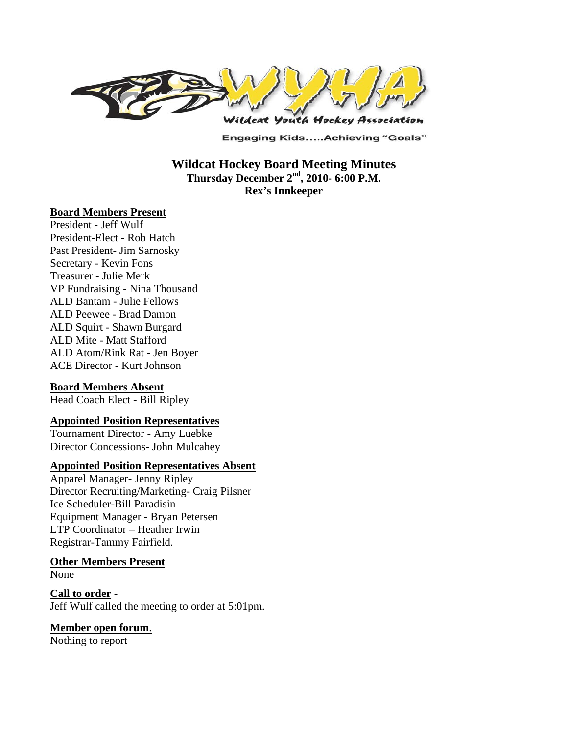

**Engaging Kids.....Achieving "Goals"** 

**Wildcat Hockey Board Meeting Minutes Thursday December 2nd, 2010- 6:00 P.M. Rex's Innkeeper** 

#### **Board Members Present**

President - Jeff Wulf President-Elect - Rob Hatch Past President- Jim Sarnosky Secretary - Kevin Fons Treasurer - Julie Merk VP Fundraising - Nina Thousand ALD Bantam - Julie Fellows ALD Peewee - Brad Damon ALD Squirt - Shawn Burgard ALD Mite - Matt Stafford ALD Atom/Rink Rat - Jen Boyer ACE Director - Kurt Johnson

### **Board Members Absent**

Head Coach Elect - Bill Ripley

### **Appointed Position Representatives**

Tournament Director - Amy Luebke Director Concessions- John Mulcahey

#### **Appointed Position Representatives Absent**

Apparel Manager- Jenny Ripley Director Recruiting/Marketing- Craig Pilsner Ice Scheduler-Bill Paradisin Equipment Manager - Bryan Petersen LTP Coordinator – Heather Irwin Registrar-Tammy Fairfield.

#### **Other Members Present**

None

**Call to order** - Jeff Wulf called the meeting to order at 5:01pm.

### **Member open forum**.

Nothing to report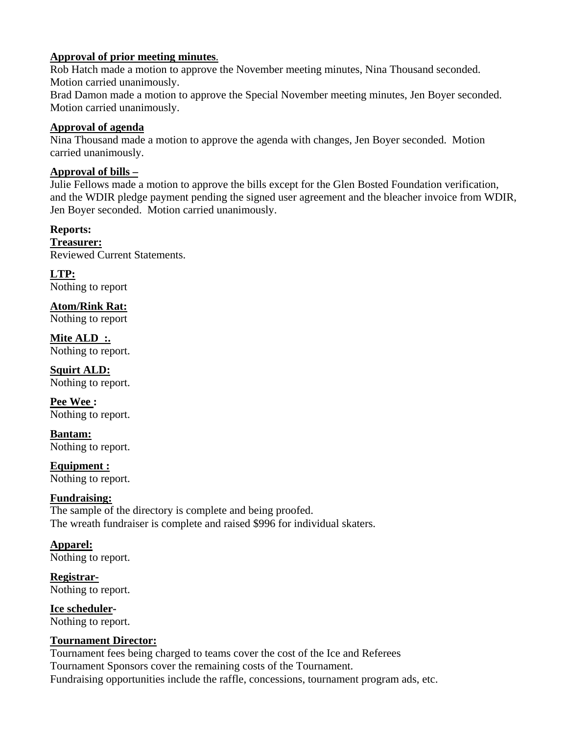### **Approval of prior meeting minutes**.

Rob Hatch made a motion to approve the November meeting minutes, Nina Thousand seconded. Motion carried unanimously.

Brad Damon made a motion to approve the Special November meeting minutes, Jen Boyer seconded. Motion carried unanimously.

## **Approval of agenda**

Nina Thousand made a motion to approve the agenda with changes, Jen Boyer seconded. Motion carried unanimously.

# **Approval of bills –**

Julie Fellows made a motion to approve the bills except for the Glen Bosted Foundation verification, and the WDIR pledge payment pending the signed user agreement and the bleacher invoice from WDIR, Jen Boyer seconded. Motion carried unanimously.

## **Reports:**

**Treasurer:**  Reviewed Current Statements.

**LTP:**  Nothing to report

**Atom/Rink Rat:**  Nothing to report

**Mite ALD :.**  Nothing to report.

**Squirt ALD:**  Nothing to report.

**Pee Wee :**  Nothing to report.

**Bantam:**  Nothing to report.

**Equipment :**  Nothing to report.

### **Fundraising:**

The sample of the directory is complete and being proofed. The wreath fundraiser is complete and raised \$996 for individual skaters.

# **Apparel:**

Nothing to report.

**Registrar-**Nothing to report.

**Ice scheduler-**Nothing to report.

### **Tournament Director:**

Tournament fees being charged to teams cover the cost of the Ice and Referees Tournament Sponsors cover the remaining costs of the Tournament. Fundraising opportunities include the raffle, concessions, tournament program ads, etc.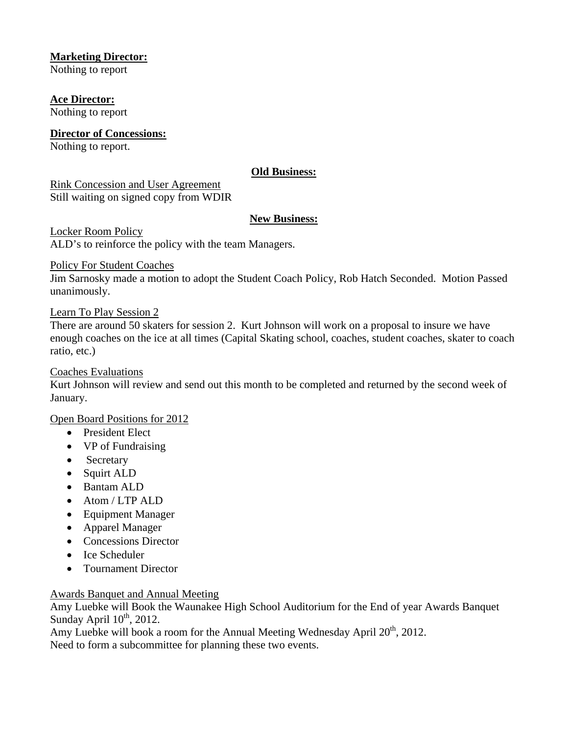### **Marketing Director:**

Nothing to report

**Ace Director:**  Nothing to report

**Director of Concessions:** Nothing to report.

### **Old Business:**

Rink Concession and User Agreement Still waiting on signed copy from WDIR

### **New Business:**

Locker Room Policy ALD's to reinforce the policy with the team Managers.

Policy For Student Coaches

Jim Sarnosky made a motion to adopt the Student Coach Policy, Rob Hatch Seconded. Motion Passed unanimously.

### Learn To Play Session 2

There are around 50 skaters for session 2. Kurt Johnson will work on a proposal to insure we have enough coaches on the ice at all times (Capital Skating school, coaches, student coaches, skater to coach ratio, etc.)

### Coaches Evaluations

Kurt Johnson will review and send out this month to be completed and returned by the second week of January.

### Open Board Positions for 2012

- President Elect
- VP of Fundraising
- Secretary
- Squirt ALD
- Bantam ALD
- Atom / LTP ALD
- Equipment Manager
- Apparel Manager
- Concessions Director
- Ice Scheduler
- Tournament Director

### Awards Banquet and Annual Meeting

Amy Luebke will Book the Waunakee High School Auditorium for the End of year Awards Banquet Sunday April  $10^{th}$ , 2012.

Amy Luebke will book a room for the Annual Meeting Wednesday April 20<sup>th</sup>, 2012. Need to form a subcommittee for planning these two events.